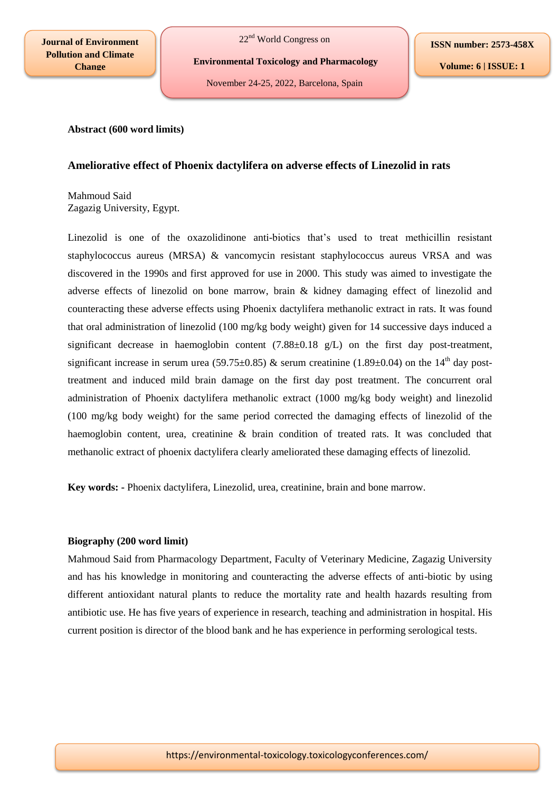**Journal of Environment Pollution and Climate Change**

22nd World Congress on

**Environmental Toxicology and Pharmacology**

November 24-25, 2022, Barcelona, Spain

**ISSN number: 2573-458X**

**Volume: 6 | ISSUE: 1**

### **Abstract (600 word limits)**

# **Ameliorative effect of Phoenix dactylifera on adverse effects of Linezolid in rats**

Mahmoud Said Zagazig University, Egypt.

Linezolid is one of the oxazolidinone anti-biotics that's used to treat methicillin resistant staphylococcus aureus (MRSA) & vancomycin resistant staphylococcus aureus VRSA and was discovered in the 1990s and first approved for use in 2000. This study was aimed to investigate the adverse effects of linezolid on bone marrow, brain & kidney damaging effect of linezolid and counteracting these adverse effects using Phoenix dactylifera methanolic extract in rats. It was found that oral administration of linezolid (100 mg/kg body weight) given for 14 successive days induced a significant decrease in haemoglobin content  $(7.88\pm0.18 \text{ g/L})$  on the first day post-treatment, significant increase in serum urea (59.75 $\pm$ 0.85) & serum creatinine (1.89 $\pm$ 0.04) on the 14<sup>th</sup> day posttreatment and induced mild brain damage on the first day post treatment. The concurrent oral administration of Phoenix dactylifera methanolic extract (1000 mg/kg body weight) and linezolid (100 mg/kg body weight) for the same period corrected the damaging effects of linezolid of the haemoglobin content, urea, creatinine & brain condition of treated rats. It was concluded that methanolic extract of phoenix dactylifera clearly ameliorated these damaging effects of linezolid.

**Key words: -** Phoenix dactylifera, Linezolid, urea, creatinine, brain and bone marrow.

#### **Biography (200 word limit)**

Mahmoud Said from Pharmacology Department, Faculty of Veterinary Medicine, Zagazig University and has his knowledge in monitoring and counteracting the adverse effects of anti-biotic by using different antioxidant natural plants to reduce the mortality rate and health hazards resulting from antibiotic use. He has five years of experience in research, teaching and administration in hospital. His current position is director of the blood bank and he has experience in performing serological tests.